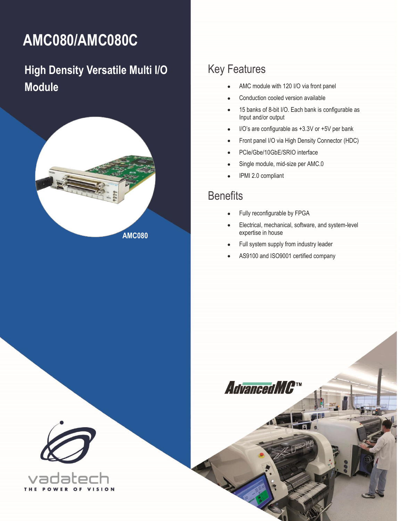# <span id="page-0-0"></span>**AMC080/AMC080C**

# **High Density Versatile Multi I/O Module**



# Key Features

- AMC module with 120 I/O via front panel
- Conduction cooled version available
- 15 banks of 8-bit I/O. Each bank is configurable as Input and/or output
- I/O's are configurable as +3.3V or +5V per bank
- Front panel I/O via High Density Connector (HDC)
- PCIe/Gbe/10GbE/SRIO interface
- Single module, mid-size per AMC.0
- IPMI 2.0 compliant

## **Benefits**

- Fully reconfigurable by FPGA
- Electrical, mechanical, software, and system-level expertise in house
- Full system supply from industry leader
- AS9100 and ISO9001 certified company



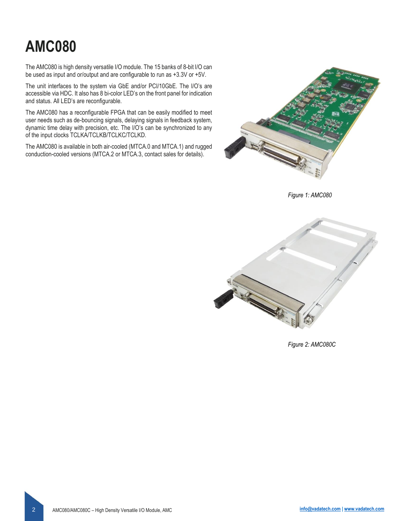# **AMC080**

The AMC080 is high density versatile I/O module. The 15 banks of 8-bit I/O can be used as input and or/output and are configurable to run as +3.3V or +5V.

The unit interfaces to the system via GbE and/or PCI/10GbE. The I/O's are accessible via HDC. It also has 8 bi-color LED's on the front panel for indication and status. All LED's are reconfigurable.

The AMC080 has a reconfigurable FPGA that can be easily modified to meet user needs such as de-bouncing signals, delaying signals in feedback system, dynamic time delay with precision, etc. The I/O's can be synchronized to any of the input clocks TCLKA/TCLKB/TCLKC/TCLKD.

The AMC080 is available in both air-cooled (MTCA.0 and MTCA.1) and rugged conduction-cooled versions (MTCA.2 or MTCA.3, contact sales for details).



*Figure 1: AMC080*



*Figure 2: AMC080C*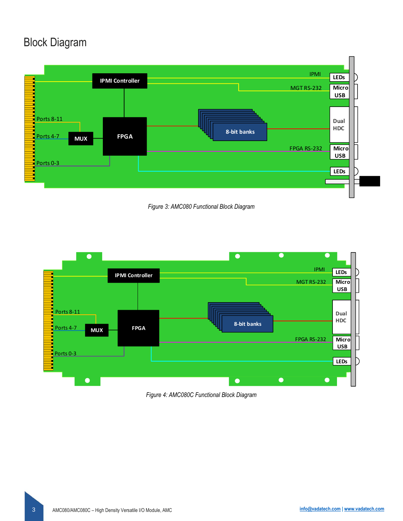# Block Diagram



*Figure 3: AMC080 Functional Block Diagram*



*Figure 4: AMC080C Functional Block Diagram*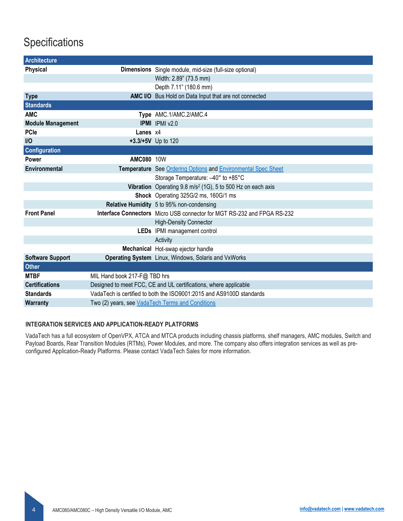# **Specifications**

| Architecture             |                                                                      |                                                                                |  |
|--------------------------|----------------------------------------------------------------------|--------------------------------------------------------------------------------|--|
| <b>Physical</b>          |                                                                      | <b>Dimensions</b> Single module, mid-size (full-size optional)                 |  |
|                          |                                                                      | Width: 2.89" (73.5 mm)                                                         |  |
|                          |                                                                      | Depth 7.11" (180.6 mm)                                                         |  |
| <b>Type</b>              |                                                                      | AMC I/O Bus Hold on Data Input that are not connected                          |  |
| <b>Standards</b>         |                                                                      |                                                                                |  |
| <b>AMC</b>               |                                                                      | Type AMC.1/AMC.2/AMC.4                                                         |  |
| <b>Module Management</b> |                                                                      | <b>IPMI</b> IPMI v2.0                                                          |  |
| <b>PCle</b>              | Lanes x4                                                             |                                                                                |  |
| $II$                     |                                                                      | +3.3/+5V Up to 120                                                             |  |
| Configuration            |                                                                      |                                                                                |  |
| Power                    | <b>AMC080 10W</b>                                                    |                                                                                |  |
| Environmental            |                                                                      | Temperature See Ordering Options and Environmental Spec Sheet                  |  |
|                          |                                                                      | Storage Temperature: -40° to +85°C                                             |  |
|                          |                                                                      | Vibration Operating $9.8 \text{ m/s}^2$ (1G), 5 to 500 Hz on each axis         |  |
|                          |                                                                      | Shock Operating 325G/2 ms, 160G/1 ms                                           |  |
|                          |                                                                      | Relative Humidity 5 to 95% non-condensing                                      |  |
| <b>Front Panel</b>       |                                                                      | <b>Interface Connectors</b> Micro USB connector for MGT RS-232 and FPGA RS-232 |  |
|                          |                                                                      | <b>High-Density Connector</b>                                                  |  |
|                          |                                                                      | LEDs IPMI management control                                                   |  |
|                          |                                                                      | Activity                                                                       |  |
|                          |                                                                      | Mechanical Hot-swap ejector handle                                             |  |
| <b>Software Support</b>  |                                                                      | Operating System Linux, Windows, Solaris and VxWorks                           |  |
| <b>Other</b>             |                                                                      |                                                                                |  |
| <b>MTBF</b>              | MIL Hand book 217-F@ TBD hrs                                         |                                                                                |  |
| <b>Certifications</b>    | Designed to meet FCC, CE and UL certifications, where applicable     |                                                                                |  |
| <b>Standards</b>         | VadaTech is certified to both the ISO9001:2015 and AS9100D standards |                                                                                |  |
| <b>Warranty</b>          | Two (2) years, see VadaTech Terms and Conditions                     |                                                                                |  |

#### **INTEGRATION SERVICES AND APPLICATION-READY PLATFORMS**

VadaTech has a full ecosystem of OpenVPX, ATCA and MTCA products including chassis platforms, shelf managers, AMC modules, Switch and Payload Boards, Rear Transition Modules (RTMs), Power Modules, and more. The company also offers integration services as well as preconfigured Application-Ready Platforms. Please contact VadaTech Sales for more information.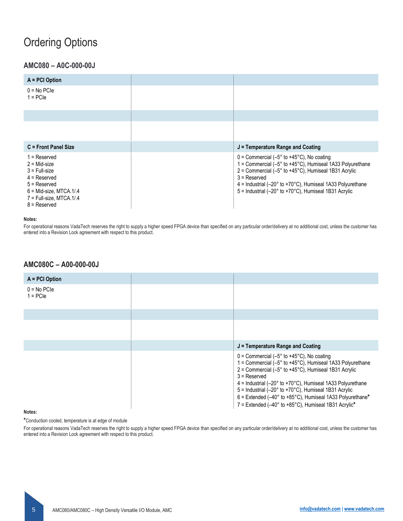## <span id="page-4-0"></span>Ordering Options

### **[AMC0](#page-0-0)80 – A0C-000-00J**

| $A = PCI$ Option            |                                     |
|-----------------------------|-------------------------------------|
| $0 = No PCIe$<br>$1 = PCIe$ |                                     |
|                             |                                     |
|                             |                                     |
| C = Front Panel Size        |                                     |
|                             | $J =$ Temperature Range and Coating |

#### **Notes:**

For operational reasons VadaTech reserves the right to supply a higher speed FPGA device than specified on any particular order/delivery at no additional cost, unless the customer has entered into a Revision Lock agreement with respect to this product.

### **[AMC0](#page-0-0)80C – A00-000-00J**

| $A = PCI$ Option            |                                                                                                                                                                                                                                                                                                                                                                                                                                     |
|-----------------------------|-------------------------------------------------------------------------------------------------------------------------------------------------------------------------------------------------------------------------------------------------------------------------------------------------------------------------------------------------------------------------------------------------------------------------------------|
| $0 = No PCIe$<br>$1 = PCIe$ |                                                                                                                                                                                                                                                                                                                                                                                                                                     |
|                             |                                                                                                                                                                                                                                                                                                                                                                                                                                     |
|                             |                                                                                                                                                                                                                                                                                                                                                                                                                                     |
|                             | $J =$ Temperature Range and Coating                                                                                                                                                                                                                                                                                                                                                                                                 |
|                             | $0 =$ Commercial (-5 $\degree$ to +45 $\degree$ C), No coating<br>1 = Commercial (-5° to +45°C), Humiseal 1A33 Polyurethane<br>$2 =$ Commercial (-5 $\degree$ to +45 $\degree$ C), Humiseal 1B31 Acrylic<br>$3$ = Reserved<br>$4$ = Industrial (-20 $\degree$ to +70 $\degree$ C), Humiseal 1A33 Polyurethane<br>5 = Industrial (-20° to +70°C), Humiseal 1B31 Acrylic<br>6 = Extended (-40° to +85°C), Humiseal 1A33 Polyurethane* |

#### **Notes:**

**\***Conduction cooled, temperature is at edge of module

For operational reasons VadaTech reserves the right to supply a higher speed FPGA device than specified on any particular order/delivery at no additional cost, unless the customer has entered into a Revision Lock agreement with respect to this product.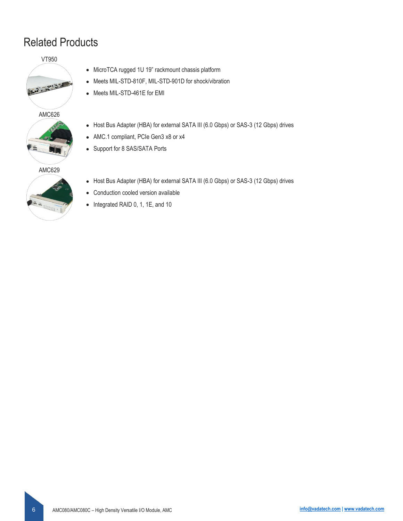# Related Products

VT950



- MicroTCA rugged 1U 19" rackmount chassis platform
- Meets MIL-STD-810F, MIL-STD-901D for shock/vibration
- Meets MIL-STD-461E for EMI



### AMC629



• Host Bus Adapter (HBA) for external SATA III (6.0 Gbps) or SAS-3 (12 Gbps) drives

• Host Bus Adapter (HBA) for external SATA III (6.0 Gbps) or SAS-3 (12 Gbps) drives

• Conduction cooled version available

• AMC.1 compliant, PCIe Gen3 x8 or x4

• Support for 8 SAS/SATA Ports

• Integrated RAID 0, 1, 1E, and 10